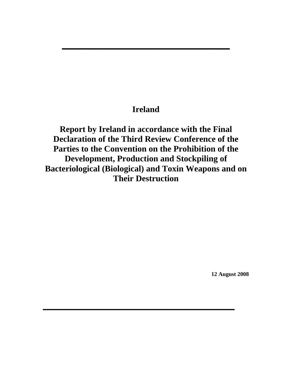# **Ireland**

**\_\_\_\_\_\_\_\_\_\_\_\_\_\_\_\_\_\_\_\_\_\_\_\_\_\_\_\_\_\_\_\_\_\_\_\_\_\_\_\_\_\_\_\_**

**Report by Ireland in accordance with the Final Declaration of the Third Review Conference of the Parties to the Convention on the Prohibition of the Development, Production and Stockpiling of Bacteriological (Biological) and Toxin Weapons and on Their Destruction** 

**\_\_\_\_\_\_\_\_\_\_\_\_\_\_\_\_\_\_\_\_\_\_\_\_\_\_\_\_\_\_\_\_\_\_\_\_\_\_\_\_\_\_\_\_\_\_\_\_\_\_\_\_\_\_\_\_\_\_\_\_\_\_\_\_\_\_\_**

**12 August 2008**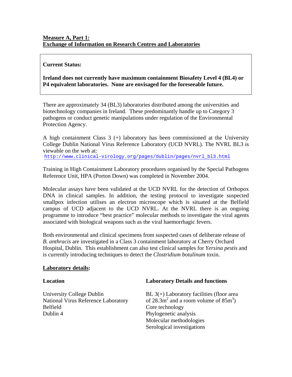# **Measure A, Part 1: Exchange of Information on Research Centres and Laboratories**

### **Current Status:**

**Ireland does not currently have maximum containment Biosafety Level 4 (BL4) or P4 equivalent laboratories. None are envisaged for the foreseeable future.** 

There are approximately 34 (BL3) laboratories distributed among the universities and biotechnology companies in Ireland. These predominantly handle up to Category 3 pathogens or conduct genetic manipulations under regulation of the Environmental Protection Agency.

A high containment Class 3 (+) laboratory has been commissioned at the University College Dublin National Virus Reference Laboratory (UCD NVRL). The NVRL BL3 is viewable on the web at: http://www.clinical-virology.org/pages/dublin/pages/nvrl\_bl3.html

Training in High Containment Laboratory procedures organised by the Special Pathogens Reference Unit, HPA (Porton Down) was completed in November 2004.

Molecular assays have been validated at the UCD NVRL for the detection of Orthopox DNA in clinical samples. In addition, the testing protocol to investigate suspected smallpox infection utilises an electron microscope which is situated at the Belfield campus of UCD adjacent to the UCD NVRL. At the NVRL there is an ongoing programme to introduce "best practice" molecular methods to investigate the viral agents associated with biological weapons such as the viral haemorrhagic fevers.

Both environmental and clinical specimens from suspected cases of deliberate release of *B. anthracis* are investigated in a Class 3 containment laboratory at Cherry Orchard Hospital, Dublin. This establishment can also test clinical samples for *Yersina pestis* and is currently introducing techniques to detect the *Clostridium botulinum* toxin.

#### **Laboratory details:**

**Location Laboratory Details and functions** 

National Virus Reference Laboratory Belfield Core technology Dublin 4 Phylogenetic analysis

University College Dublin BL 3(+) Laboratory facilities (floor area and a room volume of  $85m^3$ ) Molecular methodologies Serological investigations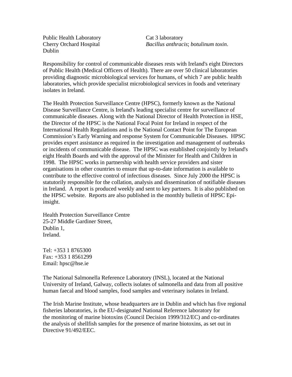Public Health Laboratory Cat 3 laboratory Dublin

Cherry Orchard Hospital *Bacillus anthracis*; *botulinum toxin*.

Responsibility for control of communicable diseases rests with Ireland's eight Directors of Public Health (Medical Officers of Health). There are over 50 clinical laboratories providing diagnostic microbiological services for humans, of which 7 are public health laboratories, which provide specialist microbiological services in foods and veterinary isolates in Ireland.

The Health Protection Surveillance Centre (HPSC), formerly known as the National Disease Surveillance Centre, is Ireland's leading specialist centre for surveillance of communicable diseases. Along with the National Director of Health Protection in HSE, the Director of the HPSC is the National Focal Point for Ireland in respect of the International Health Regulations and is the National Contact Point for The European Commission's Early Warning and response System for Communicable Diseases. HPSC provides expert assistance as required in the investigation and management of outbreaks or incidents of communicable disease. The HPSC was established conjointly by Ireland's eight Health Boards and with the approval of the Minister for Health and Children in 1998. The HPSC works in partnership with health service providers and sister organisations in other countries to ensure that up-to-date information is available to contribute to the effective control of infectious diseases. Since July 2000 the HPSC is statutorily responsible for the collation, analysis and dissemination of notifiable diseases in Ireland. A report is produced weekly and sent to key partners. It is also published on the HPSC website. Reports are also published in the monthly bulletin of HPSC Epiinsight.

Health Protection Surveillance Centre 25-27 Middle Gardiner Street, Dublin 1, Ireland.

Tel: +353 1 8765300 Fax: +353 1 8561299 Email: hpsc@hse.ie

The National Salmonella Reference Laboratory (INSL), located at the National University of Ireland, Galway, collects isolates of salmonella and data from all positive human faecal and blood samples, food samples and veterinary isolates in Ireland.

The Irish Marine Institute, whose headquarters are in Dublin and which has five regional fisheries laboratories, is the EU-designated National Reference laboratory for the monitoring of marine biotoxins (Council Decision 1999/312/EC) and co-ordinates the analysis of shellfish samples for the presence of marine biotoxins, as set out in Directive 91/492/EEC.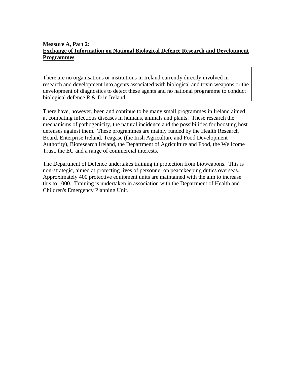# **Measure A, Part 2: Exchange of Information on National Biological Defence Research and Development Programmes**

There are no organisations or institutions in Ireland currently directly involved in research and development into agents associated with biological and toxin weapons or the development of diagnostics to detect these agents and no national programme to conduct biological defence R & D in Ireland.

There have, however, been and continue to be many small programmes in Ireland aimed at combating infectious diseases in humans, animals and plants. These research the mechanisms of pathogenicity, the natural incidence and the possibilities for boosting host defenses against them. These programmes are mainly funded by the Health Research Board, Enterprise Ireland, Teagasc (the Irish Agriculture and Food Development Authority), Bioresearch Ireland, the Department of Agriculture and Food, the Wellcome Trust, the EU and a range of commercial interests.

The Department of Defence undertakes training in protection from bioweapons. This is non-strategic, aimed at protecting lives of personnel on peacekeeping duties overseas. Approximately 400 protective equipment units are maintained with the aim to increase this to 1000. Training is undertaken in association with the Department of Health and Children's Emergency Planning Unit.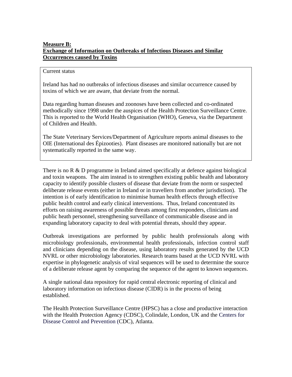# **Measure B: Exchange of Information on Outbreaks of Infectious Diseases and Similar Occurrences caused by Toxins**

#### Current status

Ireland has had no outbreaks of infectious diseases and similar occurrence caused by toxins of which we are aware, that deviate from the normal.

Data regarding human diseases and zoonoses have been collected and co-ordinated methodically since 1998 under the auspices of the Health Protection Surveillance Centre. This is reported to the World Health Organisation (WHO), Geneva, via the Department of Children and Health.

The State Veterinary Services/Department of Agriculture reports animal diseases to the OIE (International des Épizooties). Plant diseases are monitored nationally but are not systematically reported in the same way.

There is no R & D programme in Ireland aimed specifically at defence against biological and toxin weapons. The aim instead is to strengthen existing public health and laboratory capacity to identify possible clusters of disease that deviate from the norm or suspected deliberate release events (either in Ireland or in travellers from another jurisdiction). The intention is of early identification to minimise human health effects through effective public health control and early clinical interventions. Thus, Ireland concentrated its efforts on raising awareness of possible threats among first responders, clinicians and public heath personnel, strengthening surveillance of communicable disease and in expanding laboratory capacity to deal with potential threats, should they appear.

Outbreak investigations are performed by public health professionals along with microbiology professionals, environmental health professionals, infection control staff and clinicians depending on the disease, using laboratory results generated by the UCD NVRL or other microbiology laboratories. Research teams based at the UCD NVRL with expertise in phylogenetic analysis of viral sequences will be used to determine the source of a deliberate release agent by comparing the sequence of the agent to known sequences.

A single national data repository for rapid central electronic reporting of clinical and laboratory information on infectious disease (CIDR) is in the process of being established.

The Health Protection Surveillance Centre (HPSC) has a close and productive interaction with the Health Protection Agency (CDSC), Colindale, London, UK and the Centers for Disease Control and Prevention (CDC), Atlanta.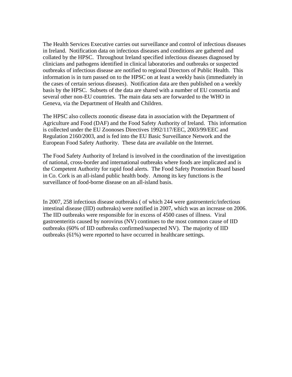The Health Services Executive carries out surveillance and control of infectious diseases in Ireland. Notification data on infectious diseases and conditions are gathered and collated by the HPSC. Throughout Ireland specified infectious diseases diagnosed by clinicians and pathogens identified in clinical laboratories and outbreaks or suspected outbreaks of infectious disease are notified to regional Directors of Public Health. This information is in turn passed on to the HPSC on at least a weekly basis (immediately in the cases of certain serious diseases). Notification data are then published on a weekly basis by the HPSC. Subsets of the data are shared with a number of EU consortia and several other non-EU countries. The main data sets are forwarded to the WHO in Geneva, via the Department of Health and Children.

The HPSC also collects zoonotic disease data in association with the Department of Agriculture and Food (DAF) and the Food Safety Authority of Ireland. This information is collected under the EU Zoonoses Directives 1992/117/EEC, 2003/99/EEC and Regulation 2160/2003, and is fed into the EU Basic Surveillance Network and the European Food Safety Authority. These data are available on the Internet.

The Food Safety Authority of Ireland is involved in the coordination of the investigation of national, cross-border and international outbreaks where foods are implicated and is the Competent Authority for rapid food alerts. The Food Safety Promotion Board based in Co. Cork is an all-island public health body. Among its key functions is the surveillance of food-borne disease on an all-island basis.

In 2007, 258 infectious disease outbreaks ( of which 244 were gastroenteric/infectious intestinal disease (IID) outbreaks) were notified in 2007, which was an increase on 2006. The IID outbreaks were responsible for in excess of 4500 cases of illness. Viral gastroenteritis caused by norovirus (NV) continues to the most common cause of IID outbreaks (60% of IID outbreaks confirmed/suspected NV). The majority of IID outbreaks (61%) were reported to have occurred in healthcare settings.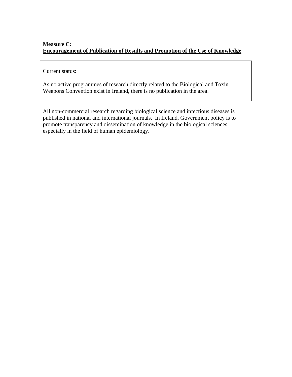# **Measure C: Encouragement of Publication of Results and Promotion of the Use of Knowledge**

# Current status:

As no active programmes of research directly related to the Biological and Toxin Weapons Convention exist in Ireland, there is no publication in the area.

All non-commercial research regarding biological science and infectious diseases is published in national and international journals. In Ireland, Government policy is to promote transparency and dissemination of knowledge in the biological sciences, especially in the field of human epidemiology.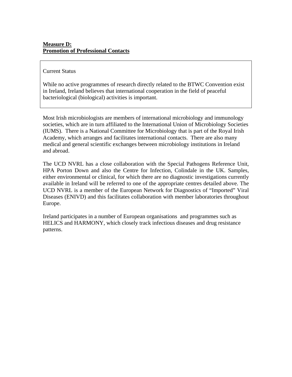## Current Status

While no active programmes of research directly related to the BTWC Convention exist in Ireland, Ireland believes that international cooperation in the field of peaceful bacteriological (biological) activities is important.

Most Irish microbiologists are members of international microbiology and immunology societies, which are in turn affiliated to the International Union of Microbiology Societies (IUMS). There is a National Committee for Microbiology that is part of the Royal Irish Academy, which arranges and facilitates international contacts. There are also many medical and general scientific exchanges between microbiology institutions in Ireland and abroad.

The UCD NVRL has a close collaboration with the Special Pathogens Reference Unit, HPA Porton Down and also the Centre for Infection, Colindale in the UK. Samples, either environmental or clinical, for which there are no diagnostic investigations currently available in Ireland will be referred to one of the appropriate centres detailed above. The UCD NVRL is a member of the European Network for Diagnostics of "Imported" Viral Diseases (ENIVD) and this facilitates collaboration with member laboratories throughout Europe.

Ireland participates in a number of European organisations and programmes such as HELICS and HARMONY, which closely track infectious diseases and drug resistance patterns.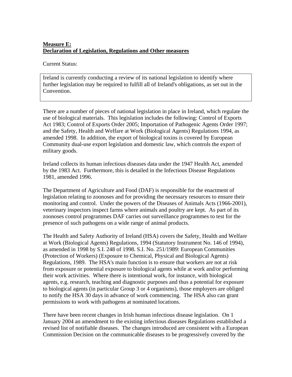# **Measure E: Declaration of Legislation, Regulations and Other measures**

Current Status:

Ireland is currently conducting a review of its national legislation to identify where further legislation may be required to fulfill all of Ireland's obligations, as set out in the Convention.

There are a number of pieces of national legislation in place in Ireland, which regulate the use of biological materials. This legislation includes the following: Control of Exports Act 1983; Control of Exports Order 2005; Importation of Pathogenic Agents Order 1997; and the Safety, Health and Welfare at Work (Biological Agents) Regulations 1994, as amended 1998. In addition, the export of biological toxins is covered by European Community dual-use export legislation and domestic law, which controls the export of military goods.

Ireland collects its human infectious diseases data under the 1947 Health Act, amended by the 1983 Act. Furthermore, this is detailed in the Infectious Disease Regulations 1981, amended 1996.

The Department of Agriculture and Food (DAF) is responsible for the enactment of legislation relating to zoonoses and for providing the necessary resources to ensure their monitoring and control. Under the powers of the Diseases of Animals Acts (1966-2001), veterinary inspectors inspect farms where animals and poultry are kept. As part of its zoonoses control programmes DAF carries out surveillance programmes to test for the presence of such pathogens on a wide range of animal products.

The Health and Safety Authority of Ireland (HSA) covers the Safety, Health and Welfare at Work (Biological Agents) Regulations, 1994 (Statutory Instrument No. 146 of 1994), as amended in 1998 by S.I. 248 of 1998. S.I. No. 251/1989: European Communities (Protection of Workers) (Exposure to Chemical, Physical and Biological Agents) Regulations, 1989. The HSA's main function is to ensure that workers are not at risk from exposure or potential exposure to biological agents while at work and/or performing their work activities. Where there is intentional work, for instance, with biological agents, e.g. research, teaching and diagnostic purposes and thus a potential for exposure to biological agents (in particular Group 3 or 4 organisms), those employers are obliged to notify the HSA 30 days in advance of work commencing. The HSA also can grant permissions to work with pathogens at nominated locations.

There have been recent changes in Irish human infectious disease legislation. On 1 January 2004 an amendment to the existing infectious diseases Regulations established a revised list of notifiable diseases. The changes introduced are consistent with a European Commission Decision on the communicable diseases to be progressively covered by the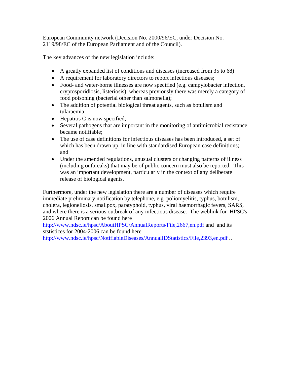European Community network (Decision No. 2000/96/EC, under Decision No. 2119/98/EC of the European Parliament and of the Council).

The key advances of the new legislation include:

- A greatly expanded list of conditions and diseases (increased from 35 to 68)
- A requirement for laboratory directors to report infectious diseases;
- Food- and water-borne illnesses are now specified (e.g. campylobacter infection, cryptosporidiosis, listeriosis), whereas previously there was merely a category of food poisoning (bacterial other than salmonella);
- The addition of potential biological threat agents, such as botulism and tularaemia;
- Hepatitis C is now specified;
- Several pathogens that are important in the monitoring of antimicrobial resistance became notifiable;
- The use of case definitions for infectious diseases has been introduced, a set of which has been drawn up, in line with standardised European case definitions; and
- Under the amended regulations, unusual clusters or changing patterns of illness (including outbreaks) that may be of public concern must also be reported. This was an important development, particularly in the context of any deliberate release of biological agents.

Furthermore, under the new legislation there are a number of diseases which require immediate preliminary notification by telephone, e.g. poliomyelitis, typhus, botulism, cholera, legionellosis, smallpox, paratyphoid, typhus, viral haemorrhagic fevers, SARS, and where there is a serious outbreak of any infectious disease. The weblink for HPSC's 2006 Annual Report can be found here

http://www.ndsc.ie/hpsc/AboutHPSC/AnnualReports/File,2667,en.pdf and and its ststistices for 2004-2006 can be found here

http://www.ndsc.ie/hpsc/NotifiableDiseases/AnnualIDStatistics/File,2393,en.pdf...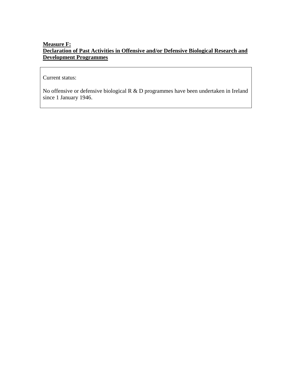# **Measure F: Declaration of Past Activities in Offensive and/or Defensive Biological Research and Development Programmes**

Current status:

No offensive or defensive biological R & D programmes have been undertaken in Ireland since 1 January 1946.